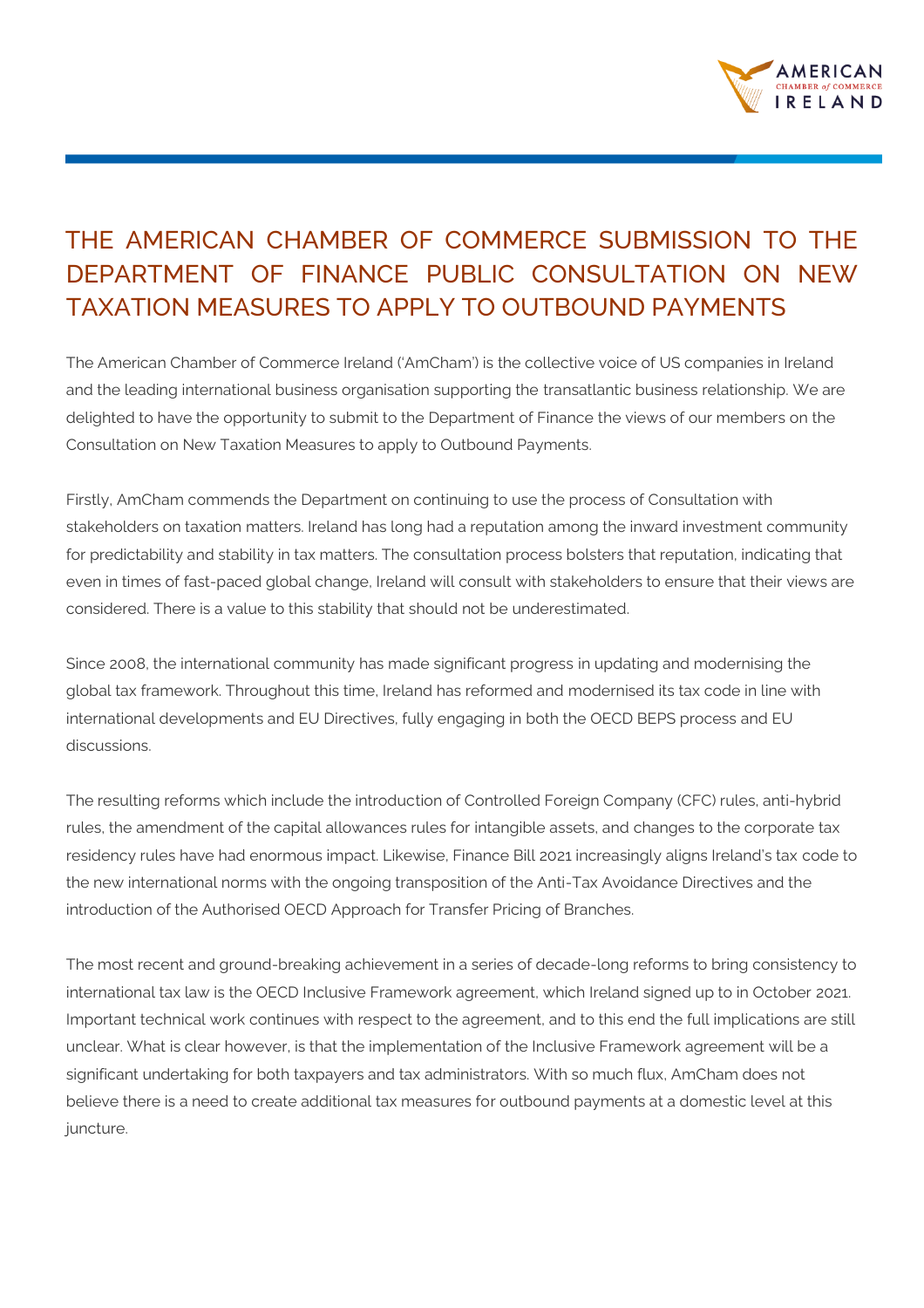

## THE AMERICAN CHAMBER OF COMMERCE SUBMISSION TO THE DEPARTMENT OF FINANCE PUBLIC CONSULTATION ON NEW TAXATION MEASURES TO APPLY TO OUTBOUND PAYMENTS

The American Chamber of Commerce Ireland ('AmCham') is the collective voice of US companies in Ireland and the leading international business organisation supporting the transatlantic business relationship. We are delighted to have the opportunity to submit to the Department of Finance the views of our members on the Consultation on New Taxation Measures to apply to Outbound Payments.

Firstly, AmCham commends the Department on continuing to use the process of Consultation with stakeholders on taxation matters. Ireland has long had a reputation among the inward investment community for predictability and stability in tax matters. The consultation process bolsters that reputation, indicating that even in times of fast-paced global change, Ireland will consult with stakeholders to ensure that their views are considered. There is a value to this stability that should not be underestimated.

Since 2008, the international community has made significant progress in updating and modernising the global tax framework. Throughout this time, Ireland has reformed and modernised its tax code in line with international developments and EU Directives, fully engaging in both the OECD BEPS process and EU discussions.

The resulting reforms which include the introduction of Controlled Foreign Company (CFC) rules, anti-hybrid rules, the amendment of the capital allowances rules for intangible assets, and changes to the corporate tax residency rules have had enormous impact. Likewise, Finance Bill 2021 increasingly aligns Ireland's tax code to the new international norms with the ongoing transposition of the Anti-Tax Avoidance Directives and the introduction of the Authorised OECD Approach for Transfer Pricing of Branches.

The most recent and ground-breaking achievement in a series of decade-long reforms to bring consistency to international tax law is the OECD Inclusive Framework agreement, which Ireland signed up to in October 2021. Important technical work continues with respect to the agreement, and to this end the full implications are still unclear. What is clear however, is that the implementation of the Inclusive Framework agreement will be a significant undertaking for both taxpayers and tax administrators. With so much flux, AmCham does not believe there is a need to create additional tax measures for outbound payments at a domestic level at this juncture.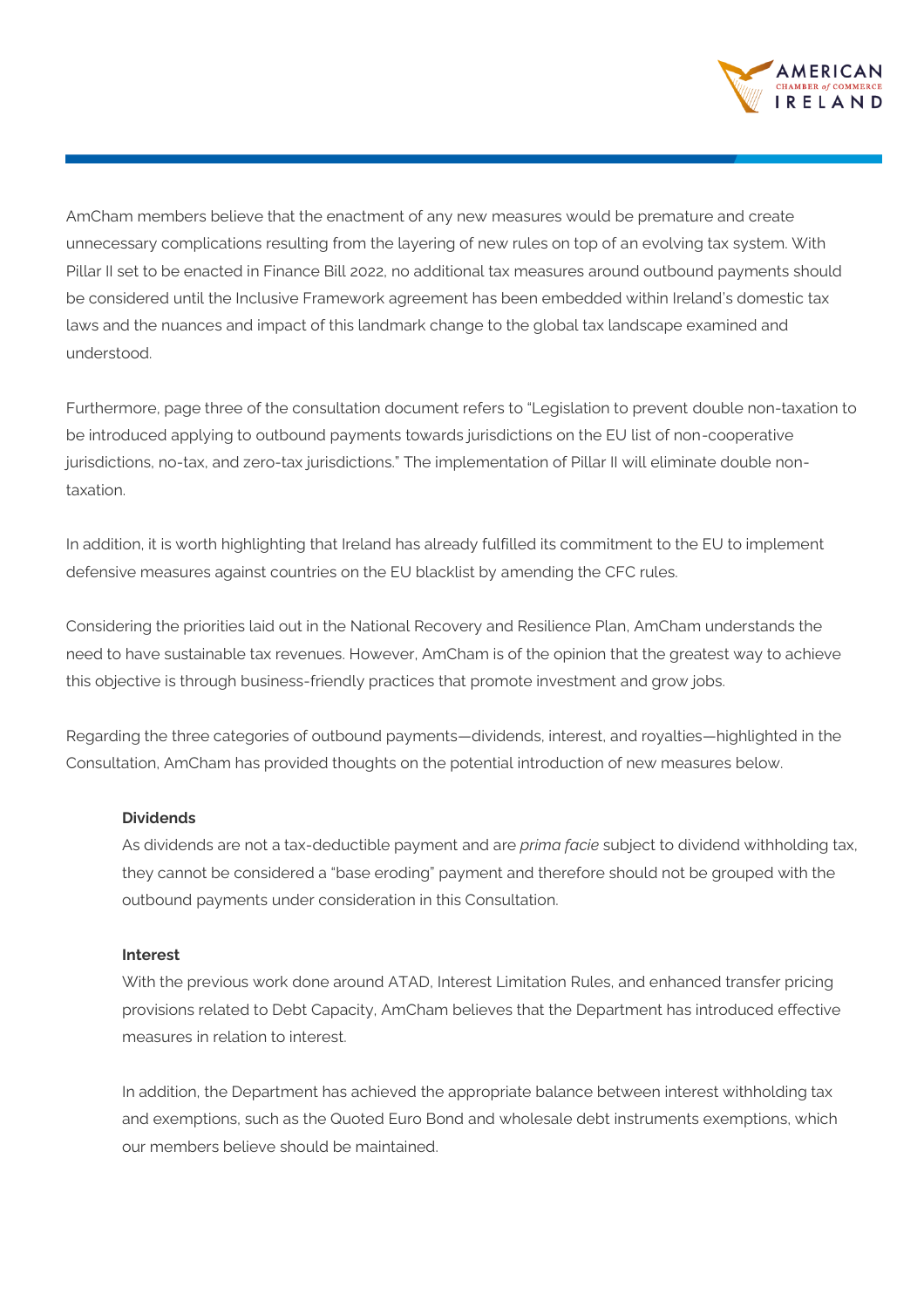

AmCham members believe that the enactment of any new measures would be premature and create unnecessary complications resulting from the layering of new rules on top of an evolving tax system. With Pillar II set to be enacted in Finance Bill 2022, no additional tax measures around outbound payments should be considered until the Inclusive Framework agreement has been embedded within Ireland's domestic tax laws and the nuances and impact of this landmark change to the global tax landscape examined and understood.

Furthermore, page three of the consultation document refers to "Legislation to prevent double non-taxation to be introduced applying to outbound payments towards jurisdictions on the EU list of non-cooperative jurisdictions, no-tax, and zero-tax jurisdictions." The implementation of Pillar II will eliminate double nontaxation.

In addition, it is worth highlighting that Ireland has already fulfilled its commitment to the EU to implement defensive measures against countries on the EU blacklist by amending the CFC rules.

Considering the priorities laid out in the National Recovery and Resilience Plan, AmCham understands the need to have sustainable tax revenues. However, AmCham is of the opinion that the greatest way to achieve this objective is through business-friendly practices that promote investment and grow jobs.

Regarding the three categories of outbound payments—dividends, interest, and royalties—highlighted in the Consultation, AmCham has provided thoughts on the potential introduction of new measures below.

## **Dividends**

As dividends are not a tax-deductible payment and are *prima facie* subject to dividend withholding tax, they cannot be considered a "base eroding" payment and therefore should not be grouped with the outbound payments under consideration in this Consultation.

## **Interest**

With the previous work done around ATAD, Interest Limitation Rules, and enhanced transfer pricing provisions related to Debt Capacity, AmCham believes that the Department has introduced effective measures in relation to interest.

In addition, the Department has achieved the appropriate balance between interest withholding tax and exemptions, such as the Quoted Euro Bond and wholesale debt instruments exemptions, which our members believe should be maintained.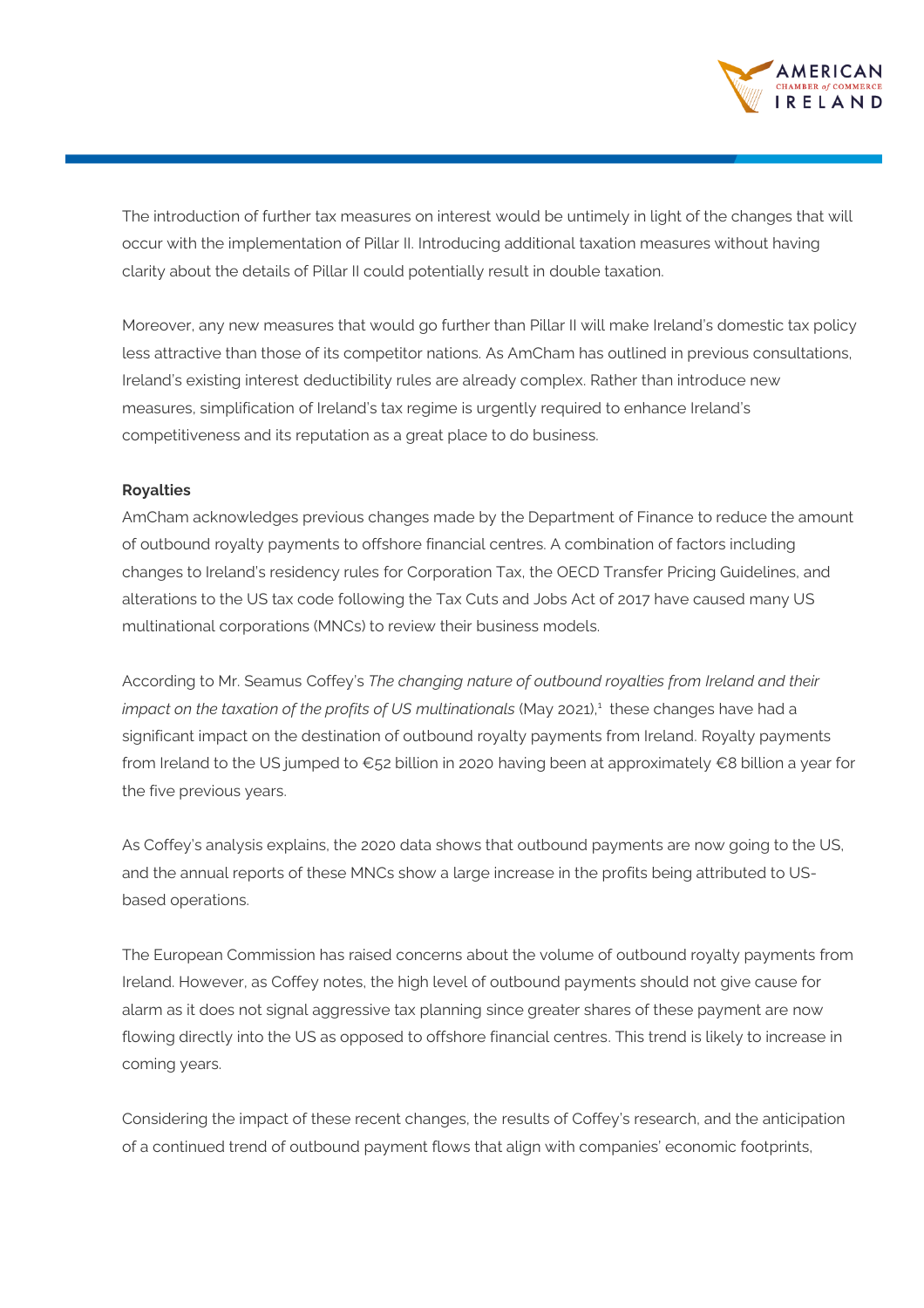

The introduction of further tax measures on interest would be untimely in light of the changes that will occur with the implementation of Pillar II. Introducing additional taxation measures without having clarity about the details of Pillar II could potentially result in double taxation.

Moreover, any new measures that would go further than Pillar II will make Ireland's domestic tax policy less attractive than those of its competitor nations. As AmCham has outlined in previous consultations, Ireland's existing interest deductibility rules are already complex. Rather than introduce new measures, simplification of Ireland's tax regime is urgently required to enhance Ireland's competitiveness and its reputation as a great place to do business.

## **Royalties**

AmCham acknowledges previous changes made by the Department of Finance to reduce the amount of outbound royalty payments to offshore financial centres. A combination of factors including changes to Ireland's residency rules for Corporation Tax, the OECD Transfer Pricing Guidelines, and alterations to the US tax code following the Tax Cuts and Jobs Act of 2017 have caused many US multinational corporations (MNCs) to review their business models.

According to Mr. Seamus Coffey's *The changing nature of outbound royalties from Ireland and their impact on the taxation of the profits of US multinationals* (May 2021), $^1$  these changes have had a significant impact on the destination of outbound royalty payments from Ireland. Royalty payments from Ireland to the US jumped to €52 billion in 2020 having been at approximately €8 billion a year for the five previous years.

As Coffey's analysis explains, the 2020 data shows that outbound payments are now going to the US, and the annual reports of these MNCs show a large increase in the profits being attributed to USbased operations.

The European Commission has raised concerns about the volume of outbound royalty payments from Ireland. However, as Coffey notes, the high level of outbound payments should not give cause for alarm as it does not signal aggressive tax planning since greater shares of these payment are now flowing directly into the US as opposed to offshore financial centres. This trend is likely to increase in coming years.

Considering the impact of these recent changes, the results of Coffey's research, and the anticipation of a continued trend of outbound payment flows that align with companies' economic footprints,